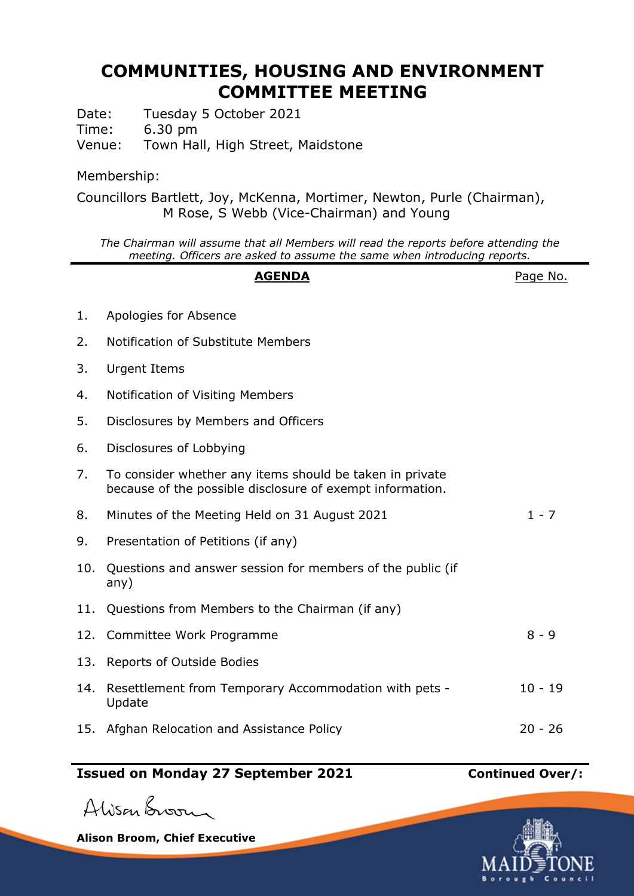## **COMMUNITIES, HOUSING AND ENVIRONMENT COMMITTEE MEETING**

Date: Tuesday 5 October 2021

Time: 6.30 pm

Venue: Town Hall, High Street, Maidstone

## Membership:

Councillors Bartlett, Joy, McKenna, Mortimer, Newton, Purle (Chairman), M Rose, S Webb (Vice-Chairman) and Young

*The Chairman will assume that all Members will read the reports before attending the meeting. Officers are asked to assume the same when introducing reports.*

# **AGENDA** Page No. 1. Apologies for Absence 2. Notification of Substitute Members 3. Urgent Items 4. Notification of Visiting Members 5. Disclosures by Members and Officers 6. Disclosures of Lobbying 7. To consider whether any items should be taken in private because of the possible disclosure of exempt information. 8. Minutes of the Meeting Held on 31 August 2021 1 - 7 9. Presentation of Petitions (if any) 10. Questions and answer session for members of the public (if any) 11. Questions from Members to the Chairman (if any) 12. Committee Work Programme 8 - 9 13. Reports of Outside Bodies 14. Resettlement from Temporary Accommodation with pets - Update 10 - 19 15. Afghan Relocation and Assistance Policy 20 - 26

## **Issued on Monday 27 September 2021 Continued Over/:**

Alisan Broom

**Alison Broom, Chief Executive**